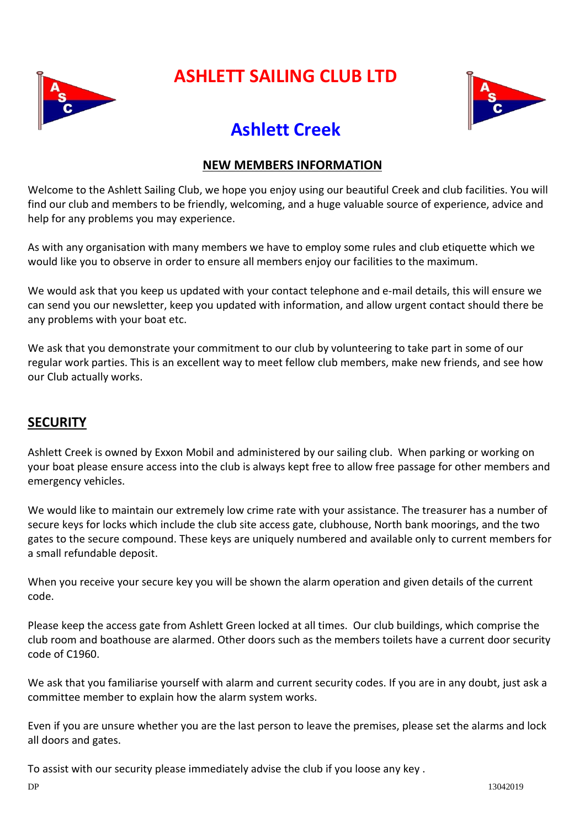

# **ASHLETT SAILING CLUB LTD**



# **Ashlett Creek**

#### **NEW MEMBERS INFORMATION**

Welcome to the Ashlett Sailing Club, we hope you enjoy using our beautiful Creek and club facilities. You will find our club and members to be friendly, welcoming, and a huge valuable source of experience, advice and help for any problems you may experience.

As with any organisation with many members we have to employ some rules and club etiquette which we would like you to observe in order to ensure all members enjoy our facilities to the maximum.

We would ask that you keep us updated with your contact telephone and e-mail details, this will ensure we can send you our newsletter, keep you updated with information, and allow urgent contact should there be any problems with your boat etc.

We ask that you demonstrate your commitment to our club by volunteering to take part in some of our regular work parties. This is an excellent way to meet fellow club members, make new friends, and see how our Club actually works.

#### **SECURITY**

Ashlett Creek is owned by Exxon Mobil and administered by our sailing club. When parking or working on your boat please ensure access into the club is always kept free to allow free passage for other members and emergency vehicles.

We would like to maintain our extremely low crime rate with your assistance. The treasurer has a number of secure keys for locks which include the club site access gate, clubhouse, North bank moorings, and the two gates to the secure compound. These keys are uniquely numbered and available only to current members for a small refundable deposit.

When you receive your secure key you will be shown the alarm operation and given details of the current code.

Please keep the access gate from Ashlett Green locked at all times. Our club buildings, which comprise the club room and boathouse are alarmed. Other doors such as the members toilets have a current door security code of C1960.

We ask that you familiarise yourself with alarm and current security codes. If you are in any doubt, just ask a committee member to explain how the alarm system works.

Even if you are unsure whether you are the last person to leave the premises, please set the alarms and lock all doors and gates.

To assist with our security please immediately advise the club if you loose any key .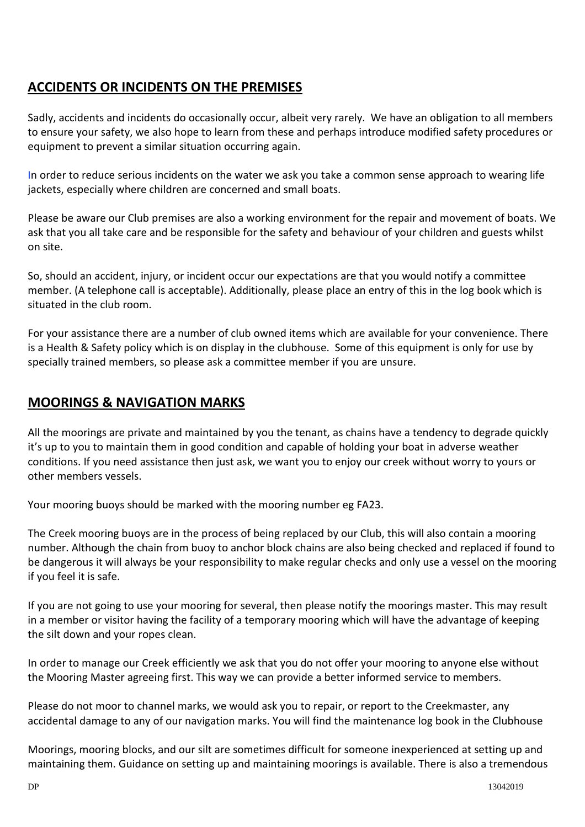### **ACCIDENTS OR INCIDENTS ON THE PREMISES**

Sadly, accidents and incidents do occasionally occur, albeit very rarely. We have an obligation to all members to ensure your safety, we also hope to learn from these and perhaps introduce modified safety procedures or equipment to prevent a similar situation occurring again.

In order to reduce serious incidents on the water we ask you take a common sense approach to wearing life jackets, especially where children are concerned and small boats.

Please be aware our Club premises are also a working environment for the repair and movement of boats. We ask that you all take care and be responsible for the safety and behaviour of your children and guests whilst on site.

So, should an accident, injury, or incident occur our expectations are that you would notify a committee member. (A telephone call is acceptable). Additionally, please place an entry of this in the log book which is situated in the club room.

For your assistance there are a number of club owned items which are available for your convenience. There is a Health & Safety policy which is on display in the clubhouse. Some of this equipment is only for use by specially trained members, so please ask a committee member if you are unsure.

#### **MOORINGS & NAVIGATION MARKS**

All the moorings are private and maintained by you the tenant, as chains have a tendency to degrade quickly it's up to you to maintain them in good condition and capable of holding your boat in adverse weather conditions. If you need assistance then just ask, we want you to enjoy our creek without worry to yours or other members vessels.

Your mooring buoys should be marked with the mooring number eg FA23.

The Creek mooring buoys are in the process of being replaced by our Club, this will also contain a mooring number. Although the chain from buoy to anchor block chains are also being checked and replaced if found to be dangerous it will always be your responsibility to make regular checks and only use a vessel on the mooring if you feel it is safe.

If you are not going to use your mooring for several, then please notify the moorings master. This may result in a member or visitor having the facility of a temporary mooring which will have the advantage of keeping the silt down and your ropes clean.

In order to manage our Creek efficiently we ask that you do not offer your mooring to anyone else without the Mooring Master agreeing first. This way we can provide a better informed service to members.

Please do not moor to channel marks, we would ask you to repair, or report to the Creekmaster, any accidental damage to any of our navigation marks. You will find the maintenance log book in the Clubhouse

Moorings, mooring blocks, and our silt are sometimes difficult for someone inexperienced at setting up and maintaining them. Guidance on setting up and maintaining moorings is available. There is also a tremendous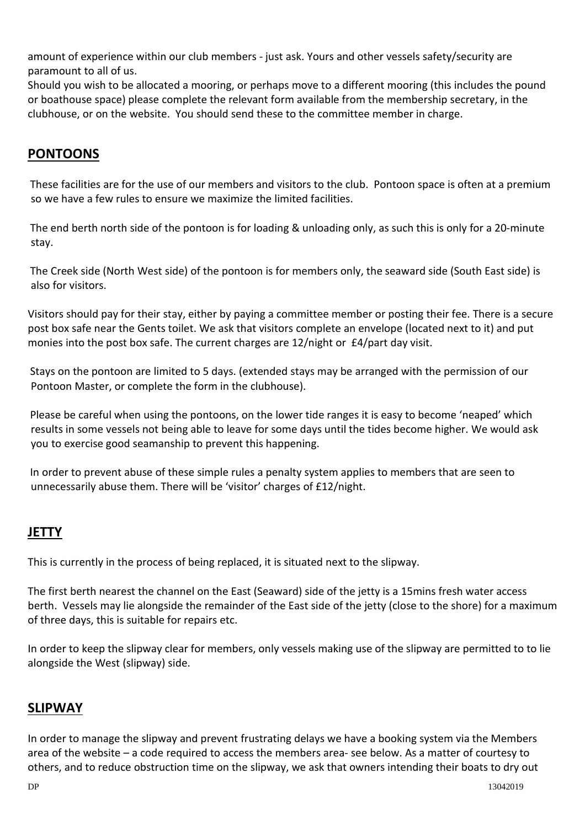amount of experience within our club members - just ask. Yours and other vessels safety/security are paramount to all of us.

Should you wish to be allocated a mooring, or perhaps move to a different mooring (this includes the pound or boathouse space) please complete the relevant form available from the membership secretary, in the clubhouse, or on the website. You should send these to the committee member in charge.

## **PONTOONS**

These facilities are for the use of our members and visitors to the club. Pontoon space is often at a premium so we have a few rules to ensure we maximize the limited facilities.

The end berth north side of the pontoon is for loading & unloading only, as such this is only for a 20-minute stay.

The Creek side (North West side) of the pontoon is for members only, the seaward side (South East side) is also for visitors.

Visitors should pay for their stay, either by paying a committee member or posting their fee. There is a secure post box safe near the Gents toilet. We ask that visitors complete an envelope (located next to it) and put monies into the post box safe. The current charges are 12/night or £4/part day visit.

Stays on the pontoon are limited to 5 days. (extended stays may be arranged with the permission of our Pontoon Master, or complete the form in the clubhouse).

Please be careful when using the pontoons, on the lower tide ranges it is easy to become 'neaped' which results in some vessels not being able to leave for some days until the tides become higher. We would ask you to exercise good seamanship to prevent this happening.

In order to prevent abuse of these simple rules a penalty system applies to members that are seen to unnecessarily abuse them. There will be 'visitor' charges of £12/night.

### **JETTY**

This is currently in the process of being replaced, it is situated next to the slipway.

The first berth nearest the channel on the East (Seaward) side of the jetty is a 15mins fresh water access berth. Vessels may lie alongside the remainder of the East side of the jetty (close to the shore) for a maximum of three days, this is suitable for repairs etc.

In order to keep the slipway clear for members, only vessels making use of the slipway are permitted to to lie alongside the West (slipway) side.

#### **SLIPWAY**

In order to manage the slipway and prevent frustrating delays we have a booking system via the Members area of the website – a code required to access the members area- see below. As a matter of courtesy to others, and to reduce obstruction time on the slipway, we ask that owners intending their boats to dry out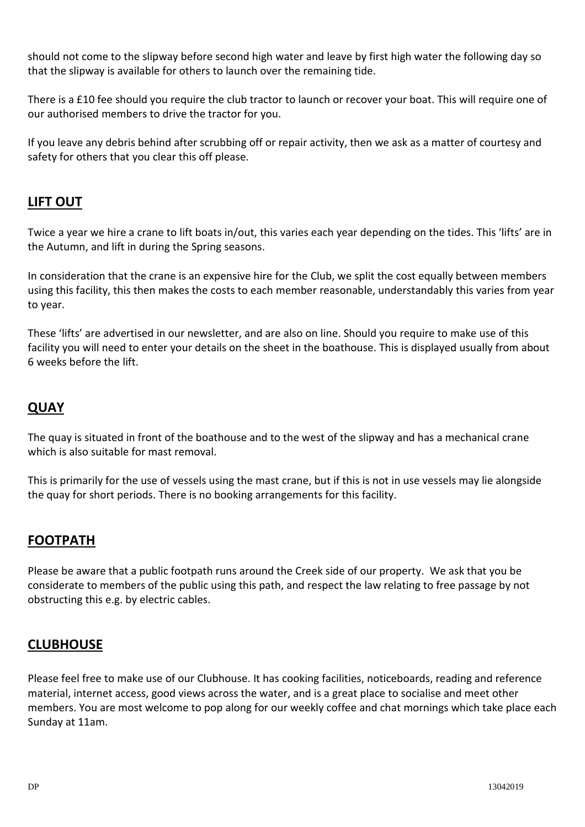should not come to the slipway before second high water and leave by first high water the following day so that the slipway is available for others to launch over the remaining tide.

There is a £10 fee should you require the club tractor to launch or recover your boat. This will require one of our authorised members to drive the tractor for you.

If you leave any debris behind after scrubbing off or repair activity, then we ask as a matter of courtesy and safety for others that you clear this off please.

#### **LIFT OUT**

Twice a year we hire a crane to lift boats in/out, this varies each year depending on the tides. This 'lifts' are in the Autumn, and lift in during the Spring seasons.

In consideration that the crane is an expensive hire for the Club, we split the cost equally between members using this facility, this then makes the costs to each member reasonable, understandably this varies from year to year.

These 'lifts' are advertised in our newsletter, and are also on line. Should you require to make use of this facility you will need to enter your details on the sheet in the boathouse. This is displayed usually from about 6 weeks before the lift.

#### **QUAY**

The quay is situated in front of the boathouse and to the west of the slipway and has a mechanical crane which is also suitable for mast removal.

This is primarily for the use of vessels using the mast crane, but if this is not in use vessels may lie alongside the quay for short periods. There is no booking arrangements for this facility.

#### **FOOTPATH**

Please be aware that a public footpath runs around the Creek side of our property. We ask that you be considerate to members of the public using this path, and respect the law relating to free passage by not obstructing this e.g. by electric cables.

#### **CLUBHOUSE**

Please feel free to make use of our Clubhouse. It has cooking facilities, noticeboards, reading and reference material, internet access, good views across the water, and is a great place to socialise and meet other members. You are most welcome to pop along for our weekly coffee and chat mornings which take place each Sunday at 11am.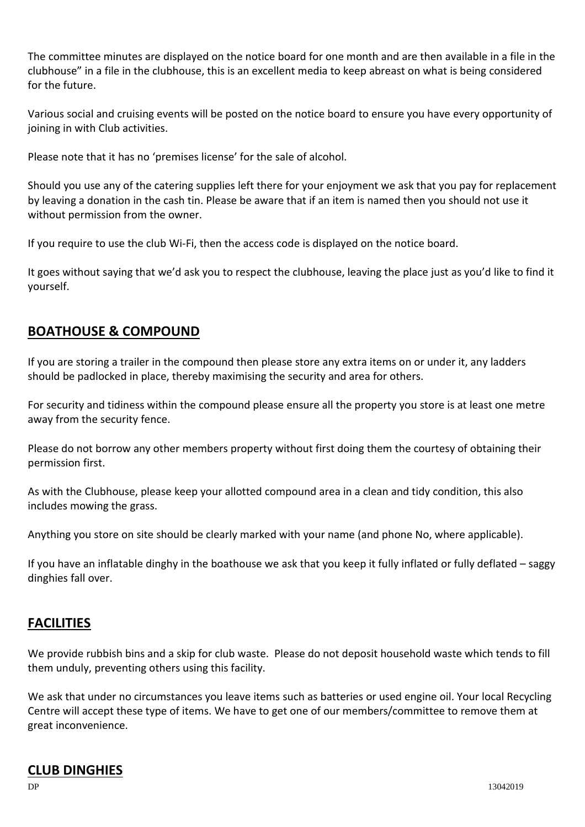The committee minutes are displayed on the notice board for one month and are then available in a file in the clubhouse" in a file in the clubhouse, this is an excellent media to keep abreast on what is being considered for the future.

Various social and cruising events will be posted on the notice board to ensure you have every opportunity of joining in with Club activities.

Please note that it has no 'premises license' for the sale of alcohol.

Should you use any of the catering supplies left there for your enjoyment we ask that you pay for replacement by leaving a donation in the cash tin. Please be aware that if an item is named then you should not use it without permission from the owner.

If you require to use the club Wi-Fi, then the access code is displayed on the notice board.

It goes without saying that we'd ask you to respect the clubhouse, leaving the place just as you'd like to find it yourself.

#### **BOATHOUSE & COMPOUND**

If you are storing a trailer in the compound then please store any extra items on or under it, any ladders should be padlocked in place, thereby maximising the security and area for others.

For security and tidiness within the compound please ensure all the property you store is at least one metre away from the security fence.

Please do not borrow any other members property without first doing them the courtesy of obtaining their permission first.

As with the Clubhouse, please keep your allotted compound area in a clean and tidy condition, this also includes mowing the grass.

Anything you store on site should be clearly marked with your name (and phone No, where applicable).

If you have an inflatable dinghy in the boathouse we ask that you keep it fully inflated or fully deflated – saggy dinghies fall over.

#### **FACILITIES**

We provide rubbish bins and a skip for club waste. Please do not deposit household waste which tends to fill them unduly, preventing others using this facility.

We ask that under no circumstances you leave items such as batteries or used engine oil. Your local Recycling Centre will accept these type of items. We have to get one of our members/committee to remove them at great inconvenience.

#### **CLUB DINGHIES**